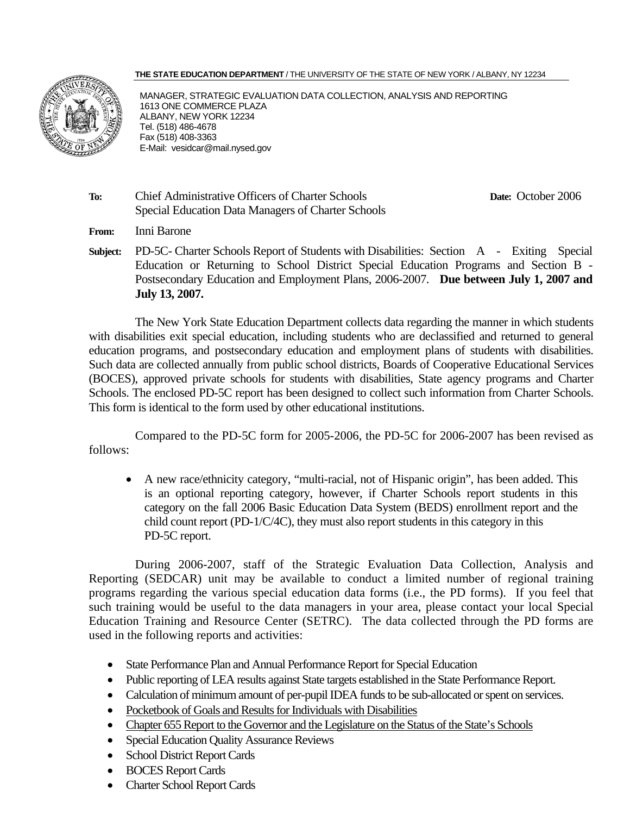#### **THE STATE EDUCATION DEPARTMENT** / THE UNIVERSITY OF THE STATE OF NEW YORK / ALBANY, NY 12234



MANAGER, STRATEGIC EVALUATION DATA COLLECTION, ANALYSIS AND REPORTING 1613 ONE COMMERCE PLAZA ALBANY, NEW YORK 12234 Tel. (518) 486-4678 Fax (518) 408-3363 E-Mail: vesidcar@mail.nysed.gov

**To:** Chief Administrative Officers of Charter Schools **Date:** October 2006 Special Education Data Managers of Charter Schools

**From:** Inni Barone

**Subject:** PD-5C- Charter Schools Report of Students with Disabilities: Section A - Exiting Special Education or Returning to School District Special Education Programs and Section B - Postsecondary Education and Employment Plans, 2006-2007. **Due between July 1, 2007 and July 13, 2007.**

The New York State Education Department collects data regarding the manner in which students with disabilities exit special education, including students who are declassified and returned to general education programs, and postsecondary education and employment plans of students with disabilities. Such data are collected annually from public school districts, Boards of Cooperative Educational Services (BOCES), approved private schools for students with disabilities, State agency programs and Charter Schools. The enclosed PD-5C report has been designed to collect such information from Charter Schools. This form is identical to the form used by other educational institutions.

Compared to the PD-5C form for 2005-2006, the PD-5C for 2006-2007 has been revised as follows:

• A new race/ethnicity category, "multi-racial, not of Hispanic origin", has been added. This is an optional reporting category, however, if Charter Schools report students in this category on the fall 2006 Basic Education Data System (BEDS) enrollment report and the child count report (PD-1/C/4C), they must also report students in this category in this PD-5C report.

During 2006-2007, staff of the Strategic Evaluation Data Collection, Analysis and Reporting (SEDCAR) unit may be available to conduct a limited number of regional training programs regarding the various special education data forms (i.e., the PD forms). If you feel that such training would be useful to the data managers in your area, please contact your local Special Education Training and Resource Center (SETRC). The data collected through the PD forms are used in the following reports and activities:

- State Performance Plan and Annual Performance Report for Special Education
- Public reporting of LEA results against State targets established in the State Performance Report.
- Calculation of minimum amount of per-pupil IDEA funds to be sub-allocated or spent on services.
- Pocketbook of Goals and Results for Individuals with Disabilities
- Chapter 655 Report to the Governor and the Legislature on the Status of the State's Schools
- Special Education Quality Assurance Reviews
- School District Report Cards
- BOCES Report Cards
- Charter School Report Cards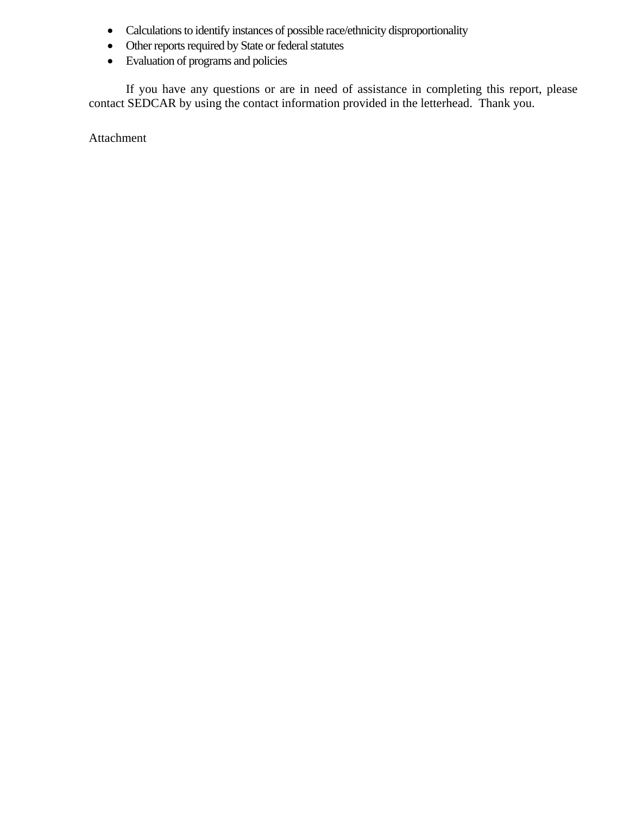- Calculations to identify instances of possible race/ethnicity disproportionality
- Other reports required by State or federal statutes
- Evaluation of programs and policies

If you have any questions or are in need of assistance in completing this report, please contact SEDCAR by using the contact information provided in the letterhead. Thank you.

Attachment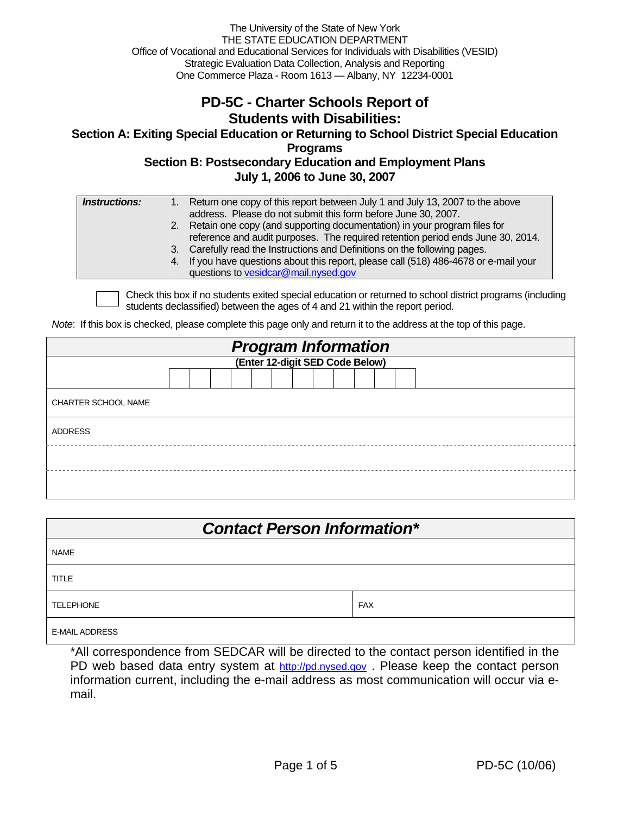The University of the State of New York THE STATE EDUCATION DEPARTMENT Office of Vocational and Educational Services for Individuals with Disabilities (VESID) Strategic Evaluation Data Collection, Analysis and Reporting One Commerce Plaza - Room 1613 — Albany, NY 12234-0001

#### **PD-5C - Charter Schools Report of Students with Disabilities:**

**Section A: Exiting Special Education or Returning to School District Special Education Programs Section B: Postsecondary Education and Employment Plans** 

**July 1, 2006 to June 30, 2007** 

| reference and audit purposes. The required retention period ends June 30, 2014.<br>3. Carefully read the Instructions and Definitions on the following pages. | 2. Retain one copy (and supporting documentation) in your program files for |
|---------------------------------------------------------------------------------------------------------------------------------------------------------------|-----------------------------------------------------------------------------|
| 4. If you have questions about this report, please call (518) 486-4678 or e-mail your<br>questions to vesidcar@mail.nysed.gov                                 |                                                                             |

Check this box if no students exited special education or returned to school district programs (including students declassified) between the ages of 4 and 21 within the report period.

*Note*: If this box is checked, please complete this page only and return it to the address at the top of this page.

| <b>Program Information</b><br>(Enter 12-digit SED Code Below) |  |  |  |  |  |  |  |  |  |  |  |  |  |  |  |  |
|---------------------------------------------------------------|--|--|--|--|--|--|--|--|--|--|--|--|--|--|--|--|
|                                                               |  |  |  |  |  |  |  |  |  |  |  |  |  |  |  |  |
|                                                               |  |  |  |  |  |  |  |  |  |  |  |  |  |  |  |  |
| <b>CHARTER SCHOOL NAME</b>                                    |  |  |  |  |  |  |  |  |  |  |  |  |  |  |  |  |
| <b>ADDRESS</b>                                                |  |  |  |  |  |  |  |  |  |  |  |  |  |  |  |  |
|                                                               |  |  |  |  |  |  |  |  |  |  |  |  |  |  |  |  |
|                                                               |  |  |  |  |  |  |  |  |  |  |  |  |  |  |  |  |

| <b>Contact Person Information*</b> |            |  |  |  |  |  |  |  |  |
|------------------------------------|------------|--|--|--|--|--|--|--|--|
| <b>NAME</b>                        |            |  |  |  |  |  |  |  |  |
| <b>TITLE</b>                       |            |  |  |  |  |  |  |  |  |
| <b>TELEPHONE</b>                   | <b>FAX</b> |  |  |  |  |  |  |  |  |
| <b>E-MAIL ADDRESS</b>              |            |  |  |  |  |  |  |  |  |

\*All correspondence from SEDCAR will be directed to the contact person identified in the PD web based data entry system at http://pd.nysed.gov. Please keep the contact person information current, including the e-mail address as most communication will occur via email.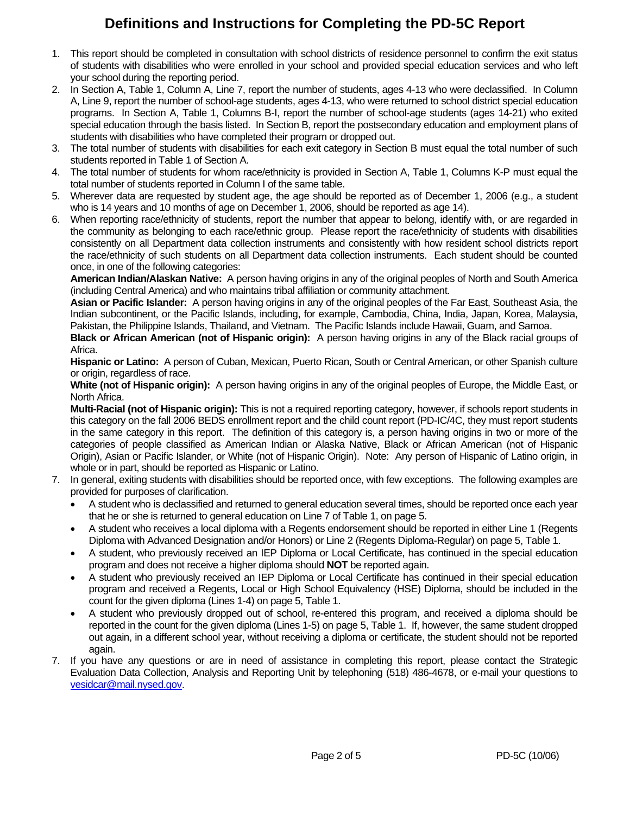### **Definitions and Instructions for Completing the PD-5C Report**

- 1. This report should be completed in consultation with school districts of residence personnel to confirm the exit status of students with disabilities who were enrolled in your school and provided special education services and who left your school during the reporting period.
- 2. In Section A, Table 1, Column A, Line 7, report the number of students, ages 4-13 who were declassified. In Column A, Line 9, report the number of school-age students, ages 4-13, who were returned to school district special education programs. In Section A, Table 1, Columns B-I, report the number of school-age students (ages 14-21) who exited special education through the basis listed. In Section B, report the postsecondary education and employment plans of students with disabilities who have completed their program or dropped out.
- 3. The total number of students with disabilities for each exit category in Section B must equal the total number of such students reported in Table 1 of Section A.
- 4. The total number of students for whom race/ethnicity is provided in Section A, Table 1, Columns K-P must equal the total number of students reported in Column I of the same table.
- 5. Wherever data are requested by student age, the age should be reported as of December 1, 2006 (e.g., a student who is 14 years and 10 months of age on December 1, 2006, should be reported as age 14).
- 6. When reporting race/ethnicity of students, report the number that appear to belong, identify with, or are regarded in the community as belonging to each race/ethnic group. Please report the race/ethnicity of students with disabilities consistently on all Department data collection instruments and consistently with how resident school districts report the race/ethnicity of such students on all Department data collection instruments. Each student should be counted once, in one of the following categories:

**American Indian/Alaskan Native:** A person having origins in any of the original peoples of North and South America (including Central America) and who maintains tribal affiliation or community attachment.

**Asian or Pacific Islander:** A person having origins in any of the original peoples of the Far East, Southeast Asia, the Indian subcontinent, or the Pacific Islands, including, for example, Cambodia, China, India, Japan, Korea, Malaysia, Pakistan, the Philippine Islands, Thailand, and Vietnam. The Pacific Islands include Hawaii, Guam, and Samoa.

**Black or African American (not of Hispanic origin):** A person having origins in any of the Black racial groups of Africa.

**Hispanic or Latino:** A person of Cuban, Mexican, Puerto Rican, South or Central American, or other Spanish culture or origin, regardless of race.

**White (not of Hispanic origin):** A person having origins in any of the original peoples of Europe, the Middle East, or North Africa.

**Multi-Racial (not of Hispanic origin):** This is not a required reporting category, however, if schools report students in this category on the fall 2006 BEDS enrollment report and the child count report (PD-IC/4C, they must report students in the same category in this report. The definition of this category is, a person having origins in two or more of the categories of people classified as American Indian or Alaska Native, Black or African American (not of Hispanic Origin), Asian or Pacific Islander, or White (not of Hispanic Origin). Note: Any person of Hispanic of Latino origin, in whole or in part, should be reported as Hispanic or Latino.

- 7. In general, exiting students with disabilities should be reported once, with few exceptions. The following examples are provided for purposes of clarification.
	- A student who is declassified and returned to general education several times, should be reported once each year that he or she is returned to general education on Line 7 of Table 1, on page 5.
	- A student who receives a local diploma with a Regents endorsement should be reported in either Line 1 (Regents Diploma with Advanced Designation and/or Honors) or Line 2 (Regents Diploma-Regular) on page 5, Table 1.
	- A student, who previously received an IEP Diploma or Local Certificate, has continued in the special education program and does not receive a higher diploma should **NOT** be reported again.
	- A student who previously received an IEP Diploma or Local Certificate has continued in their special education program and received a Regents, Local or High School Equivalency (HSE) Diploma, should be included in the count for the given diploma (Lines 1-4) on page 5, Table 1.
	- A student who previously dropped out of school, re-entered this program, and received a diploma should be reported in the count for the given diploma (Lines 1-5) on page 5, Table 1. If, however, the same student dropped out again, in a different school year, without receiving a diploma or certificate, the student should not be reported again.
- 7. If you have any questions or are in need of assistance in completing this report, please contact the Strategic Evaluation Data Collection, Analysis and Reporting Unit by telephoning (518) 486-4678, or e-mail your questions to vesidcar@mail.nysed.gov.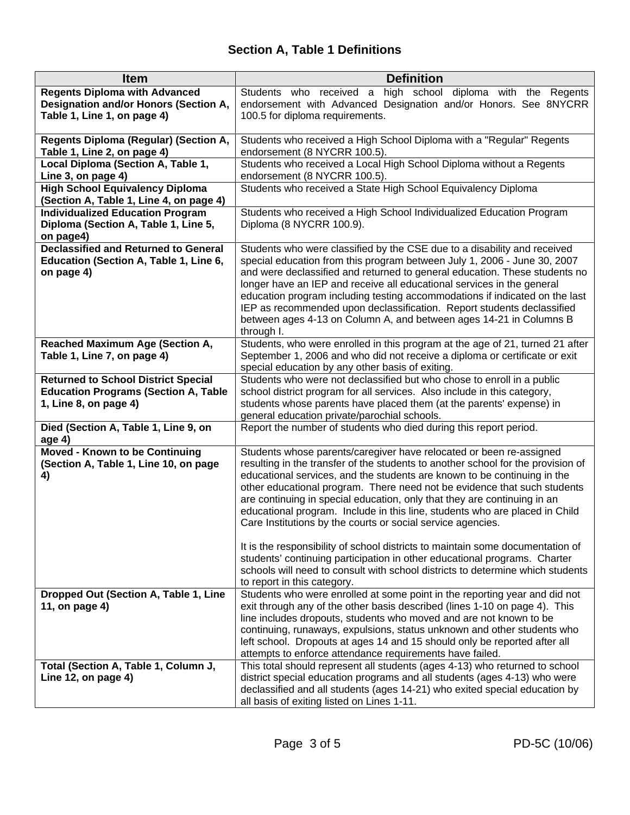# **Section A, Table 1 Definitions**

| <b>Item</b>                                                                    | <b>Definition</b>                                                                                                                                           |
|--------------------------------------------------------------------------------|-------------------------------------------------------------------------------------------------------------------------------------------------------------|
| <b>Regents Diploma with Advanced</b>                                           | high school diploma with the Regents<br>Students who received a                                                                                             |
| Designation and/or Honors (Section A,                                          | endorsement with Advanced Designation and/or Honors. See 8NYCRR                                                                                             |
| Table 1, Line 1, on page 4)                                                    | 100.5 for diploma requirements.                                                                                                                             |
| <b>Regents Diploma (Regular) (Section A,</b><br>Table 1, Line 2, on page 4)    | Students who received a High School Diploma with a "Regular" Regents<br>endorsement (8 NYCRR 100.5).                                                        |
| Local Diploma (Section A, Table 1,                                             | Students who received a Local High School Diploma without a Regents                                                                                         |
| Line 3, on page 4)                                                             | endorsement (8 NYCRR 100.5).                                                                                                                                |
| <b>High School Equivalency Diploma</b>                                         | Students who received a State High School Equivalency Diploma                                                                                               |
| (Section A, Table 1, Line 4, on page 4)                                        |                                                                                                                                                             |
| <b>Individualized Education Program</b>                                        | Students who received a High School Individualized Education Program                                                                                        |
| Diploma (Section A, Table 1, Line 5,                                           | Diploma (8 NYCRR 100.9).                                                                                                                                    |
| on page4)                                                                      |                                                                                                                                                             |
| <b>Declassified and Returned to General</b>                                    | Students who were classified by the CSE due to a disability and received                                                                                    |
| Education (Section A, Table 1, Line 6,<br>on page 4)                           | special education from this program between July 1, 2006 - June 30, 2007<br>and were declassified and returned to general education. These students no      |
|                                                                                | longer have an IEP and receive all educational services in the general                                                                                      |
|                                                                                | education program including testing accommodations if indicated on the last                                                                                 |
|                                                                                | IEP as recommended upon declassification. Report students declassified                                                                                      |
|                                                                                | between ages 4-13 on Column A, and between ages 14-21 in Columns B                                                                                          |
|                                                                                | through I.                                                                                                                                                  |
| <b>Reached Maximum Age (Section A,</b>                                         | Students, who were enrolled in this program at the age of 21, turned 21 after                                                                               |
| Table 1, Line 7, on page 4)                                                    | September 1, 2006 and who did not receive a diploma or certificate or exit                                                                                  |
|                                                                                | special education by any other basis of exiting.                                                                                                            |
| <b>Returned to School District Special</b>                                     | Students who were not declassified but who chose to enroll in a public                                                                                      |
| <b>Education Programs (Section A, Table</b>                                    | school district program for all services. Also include in this category,                                                                                    |
| 1, Line 8, on page 4)                                                          | students whose parents have placed them (at the parents' expense) in<br>general education private/parochial schools.                                        |
| Died (Section A, Table 1, Line 9, on                                           | Report the number of students who died during this report period.                                                                                           |
| age 4)                                                                         |                                                                                                                                                             |
| <b>Moved - Known to be Continuing</b><br>(Section A, Table 1, Line 10, on page | Students whose parents/caregiver have relocated or been re-assigned<br>resulting in the transfer of the students to another school for the provision of     |
| 4)                                                                             | educational services, and the students are known to be continuing in the                                                                                    |
|                                                                                | other educational program. There need not be evidence that such students                                                                                    |
|                                                                                | are continuing in special education, only that they are continuing in an                                                                                    |
|                                                                                | educational program. Include in this line, students who are placed in Child                                                                                 |
|                                                                                | Care Institutions by the courts or social service agencies.                                                                                                 |
|                                                                                |                                                                                                                                                             |
|                                                                                | It is the responsibility of school districts to maintain some documentation of                                                                              |
|                                                                                | students' continuing participation in other educational programs. Charter<br>schools will need to consult with school districts to determine which students |
|                                                                                | to report in this category.                                                                                                                                 |
| Dropped Out (Section A, Table 1, Line                                          | Students who were enrolled at some point in the reporting year and did not                                                                                  |
| 11, on page 4)                                                                 | exit through any of the other basis described (lines 1-10 on page 4). This                                                                                  |
|                                                                                | line includes dropouts, students who moved and are not known to be                                                                                          |
|                                                                                | continuing, runaways, expulsions, status unknown and other students who                                                                                     |
|                                                                                | left school. Dropouts at ages 14 and 15 should only be reported after all                                                                                   |
|                                                                                | attempts to enforce attendance requirements have failed.                                                                                                    |
| Total (Section A, Table 1, Column J,                                           | This total should represent all students (ages 4-13) who returned to school                                                                                 |
| Line 12, on page 4)                                                            | district special education programs and all students (ages 4-13) who were                                                                                   |
|                                                                                | declassified and all students (ages 14-21) who exited special education by                                                                                  |
|                                                                                | all basis of exiting listed on Lines 1-11.                                                                                                                  |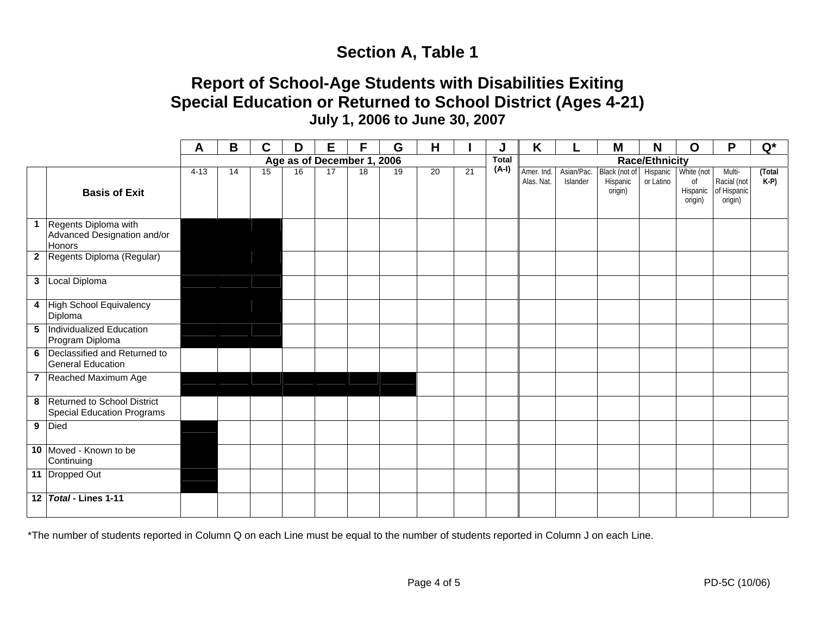# **Section A, Table 1**

## **Report of School-Age Students with Disabilities Exiting Special Education or Returned to School District (Ages 4-21) July 1, 2006 to June 30, 2007**

|                                                                        | A      | $\mathbf B$     | C  | D  | Е                          | F  | G               | H  |              | J     | K                        |                        | M                                    | N                     | $\mathbf O$                             | P                                               | $Q^*$           |
|------------------------------------------------------------------------|--------|-----------------|----|----|----------------------------|----|-----------------|----|--------------|-------|--------------------------|------------------------|--------------------------------------|-----------------------|-----------------------------------------|-------------------------------------------------|-----------------|
|                                                                        |        |                 |    |    | Age as of December 1, 2006 |    |                 |    | <b>Total</b> |       |                          | <b>Race/Ethnicity</b>  |                                      |                       |                                         |                                                 |                 |
| <b>Basis of Exit</b>                                                   | $4-13$ | $\overline{14}$ | 15 | 16 | 17                         | 18 | $\overline{19}$ | 20 | 21           | (A-I) | Amer. Ind.<br>Alas. Nat. | Asian/Pac.<br>Islander | Black (not of<br>Hispanic<br>origin) | Hispanic<br>or Latino | White (not<br>0f<br>Hispanic<br>origin) | Multi-<br>Racial (not<br>of Hispanic<br>origin) | (Total<br>$K-P$ |
| 1 Regents Diploma with<br>Advanced Designation and/or<br><b>Honors</b> |        |                 |    |    |                            |    |                 |    |              |       |                          |                        |                                      |                       |                                         |                                                 |                 |
| 2 Regents Diploma (Regular)                                            |        |                 |    |    |                            |    |                 |    |              |       |                          |                        |                                      |                       |                                         |                                                 |                 |
| 3 Local Diploma                                                        |        |                 |    |    |                            |    |                 |    |              |       |                          |                        |                                      |                       |                                         |                                                 |                 |
| 4 High School Equivalency<br>Diploma                                   |        |                 |    |    |                            |    |                 |    |              |       |                          |                        |                                      |                       |                                         |                                                 |                 |
| 5 Individualized Education<br>Program Diploma                          |        |                 |    |    |                            |    |                 |    |              |       |                          |                        |                                      |                       |                                         |                                                 |                 |
| 6 Declassified and Returned to<br><b>General Education</b>             |        |                 |    |    |                            |    |                 |    |              |       |                          |                        |                                      |                       |                                         |                                                 |                 |
| 7 Reached Maximum Age                                                  |        |                 |    |    |                            |    |                 |    |              |       |                          |                        |                                      |                       |                                         |                                                 |                 |
| 8 Returned to School District<br>Special Education Programs            |        |                 |    |    |                            |    |                 |    |              |       |                          |                        |                                      |                       |                                         |                                                 |                 |
| 9 Died                                                                 |        |                 |    |    |                            |    |                 |    |              |       |                          |                        |                                      |                       |                                         |                                                 |                 |
| 10 Moved - Known to be<br>Continuing                                   |        |                 |    |    |                            |    |                 |    |              |       |                          |                        |                                      |                       |                                         |                                                 |                 |
| 11 Dropped Out                                                         |        |                 |    |    |                            |    |                 |    |              |       |                          |                        |                                      |                       |                                         |                                                 |                 |
| 12 Total - Lines 1-11                                                  |        |                 |    |    |                            |    |                 |    |              |       |                          |                        |                                      |                       |                                         |                                                 |                 |

\*The number of students reported in Column Q on each Line must be equal to the number of students reported in Column J on each Line.